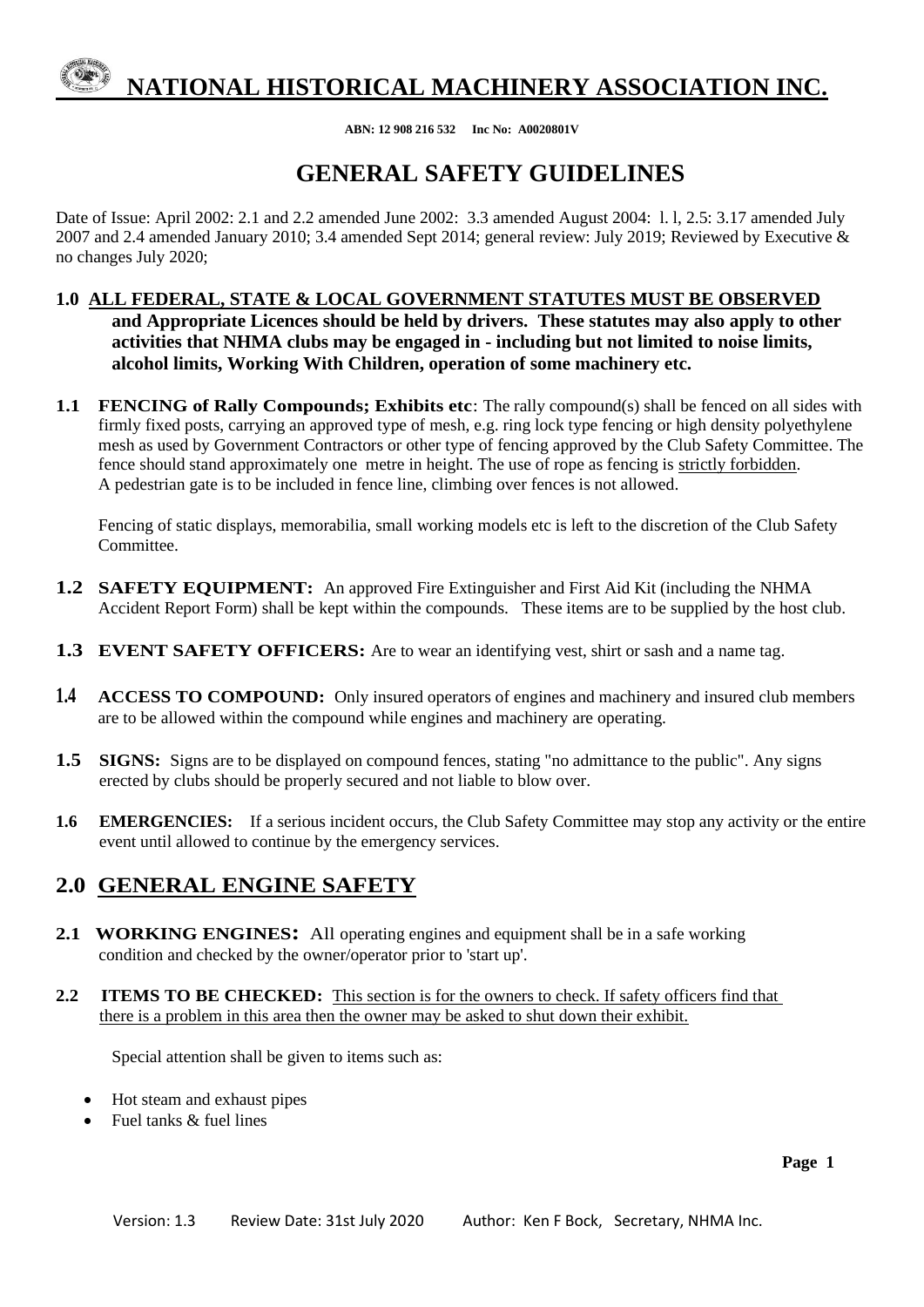**ABN: 12 908 216 532 Inc No: A0020801V**

## **GENERAL SAFETY GUIDELINES**

Date of Issue: April 2002: 2.1 and 2.2 amended June 2002: 3.3 amended August 2004: l. l, 2.5: 3.17 amended July 2007 and 2.4 amended January 2010; 3.4 amended Sept 2014; general review: July 2019; Reviewed by Executive & no changes July 2020;

- **1.0 ALL FEDERAL, STATE & LOCAL GOVERNMENT STATUTES MUST BE OBSERVED and Appropriate Licences should be held by drivers. These statutes may also apply to other activities that NHMA clubs may be engaged in - including but not limited to noise limits, alcohol limits, Working With Children, operation of some machinery etc.**
- **1.1 FENCING of Rally Compounds; Exhibits etc**: The rally compound(s) shall be fenced on all sides with firmly fixed posts, carrying an approved type of mesh, e.g. ring lock type fencing or high density polyethylene mesh as used by Government Contractors or other type of fencing approved by the Club Safety Committee. The fence should stand approximately one metre in height. The use of rope as fencing is strictly forbidden. A pedestrian gate is to be included in fence line, climbing over fences is not allowed.

Fencing of static displays, memorabilia, small working models etc is left to the discretion of the Club Safety Committee.

- **1.2 SAFETY EQUIPMENT:** An approved Fire Extinguisher and First Aid Kit (including the NHMA Accident Report Form) shall be kept within the compounds. These items are to be supplied by the host club.
- **1.3 EVENT SAFETY OFFICERS:** Are to wear an identifying vest, shirt or sash and a name tag.
- **1.4 ACCESS TO COMPOUND:** Only insured operators of engines and machinery and insured club members are to be allowed within the compound while engines and machinery are operating.
- **1.5 SIGNS:** Signs are to be displayed on compound fences, stating "no admittance to the public". Any signs erected by clubs should be properly secured and not liable to blow over.
- **1.6 EMERGENCIES:** If a serious incident occurs, the Club Safety Committee may stop any activity or the entire event until allowed to continue by the emergency services.

### **2.0 GENERAL ENGINE SAFETY**

- **2.1 WORKING ENGINES:** All operating engines and equipment shall be in a safe working condition and checked by the owner/operator prior to 'start up'.
- **2.2 ITEMS TO BE CHECKED:** This section is for the owners to check. If safety officers find that there is a problem in this area then the owner may be asked to shut down their exhibit.

Special attention shall be given to items such as:

- Hot steam and exhaust pipes
- Fuel tanks  $\&$  fuel lines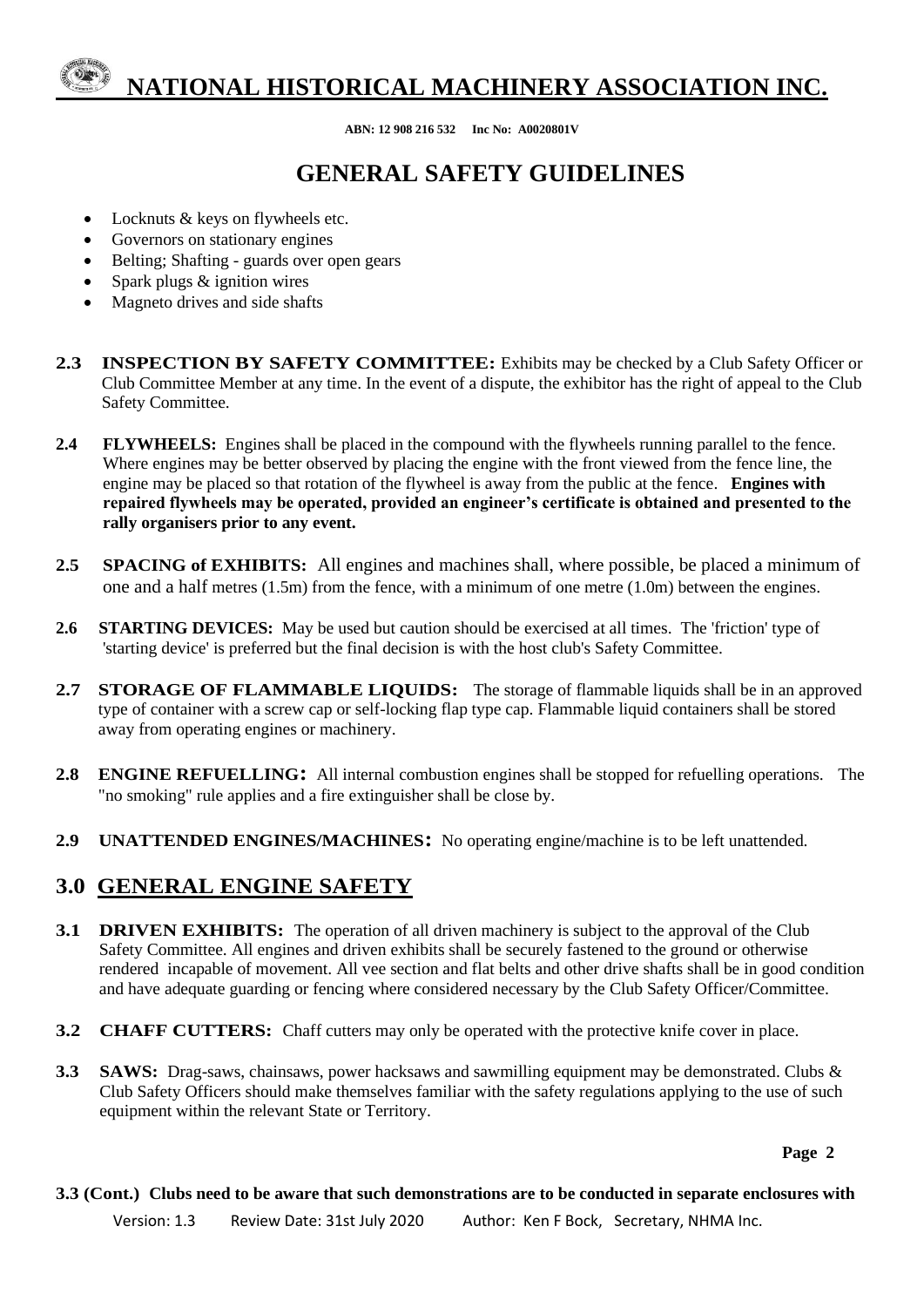**ABN: 12 908 216 532 Inc No: A0020801V**

# **GENERAL SAFETY GUIDELINES**

- Locknuts & keys on flywheels etc.
- Governors on stationary engines
- Belting; Shafting guards over open gears
- Spark plugs & ignition wires
- Magneto drives and side shafts
- **2.3 INSPECTION BY SAFETY COMMITTEE:** Exhibits may be checked by a Club Safety Officer or Club Committee Member at any time. In the event of a dispute, the exhibitor has the right of appeal to the Club Safety Committee.
- **2.4 FLYWHEELS:** Engines shall be placed in the compound with the flywheels running parallel to the fence. Where engines may be better observed by placing the engine with the front viewed from the fence line, the engine may be placed so that rotation of the flywheel is away from the public at the fence. **Engines with repaired flywheels may be operated, provided an engineer's certificate is obtained and presented to the rally organisers prior to any event.**
- **2.5 SPACING of EXHIBITS:** All engines and machines shall, where possible, be placed a minimum of one and a half metres (1.5m) from the fence, with a minimum of one metre (1.0m) between the engines.
- **2.6 STARTING DEVICES:** May be used but caution should be exercised at all times. The 'friction' type of 'starting device' is preferred but the final decision is with the host club's Safety Committee.
- 2.7 STORAGE OF FLAMMABLE LIQUIDS: The storage of flammable liquids shall be in an approved type of container with a screw cap or self-locking flap type cap. Flammable liquid containers shall be stored away from operating engines or machinery.
- **2.8 ENGINE REFUELLING:** All internal combustion engines shall be stopped for refuelling operations. The "no smoking" rule applies and a fire extinguisher shall be close by.
- **2.9 UNATTENDED ENGINES/MACHINES:** No operating engine/machine is to be left unattended.

#### **3.0 GENERAL ENGINE SAFETY**

- **3.1 DRIVEN EXHIBITS:** The operation of all driven machinery is subject to the approval of the Club Safety Committee. All engines and driven exhibits shall be securely fastened to the ground or otherwise rendered incapable of movement. All vee section and flat belts and other drive shafts shall be in good condition and have adequate guarding or fencing where considered necessary by the Club Safety Officer/Committee.
- **3.2 CHAFF CUTTERS:** Chaff cutters may only be operated with the protective knife cover in place.
- **3.3 SAWS:** Drag-saws, chainsaws, power hacksaws and sawmilling equipment may be demonstrated. Clubs & Club Safety Officers should make themselves familiar with the safety regulations applying to the use of such equipment within the relevant State or Territory.

**3.3 (Cont.) Clubs need to be aware that such demonstrations are to be conducted in separate enclosures with**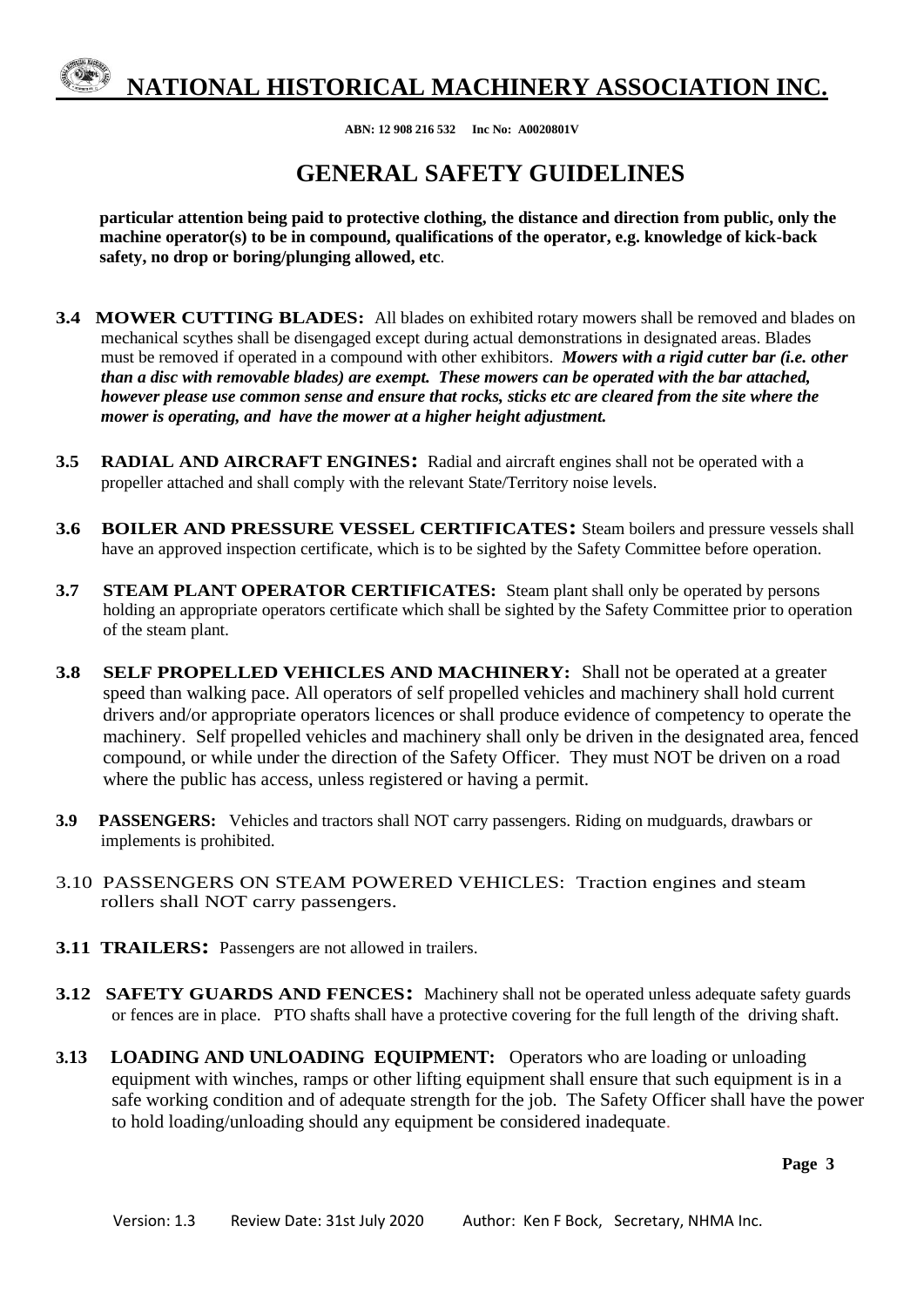**ABN: 12 908 216 532 Inc No: A0020801V**

## **GENERAL SAFETY GUIDELINES**

**particular attention being paid to protective clothing, the distance and direction from public, only the machine operator(s) to be in compound, qualifications of the operator, e.g. knowledge of kick-back safety, no drop or boring/plunging allowed, etc**.

- **3.4 MOWER CUTTING BLADES:** All blades on exhibited rotary mowers shall be removed and blades on mechanical scythes shall be disengaged except during actual demonstrations in designated areas. Blades must be removed if operated in a compound with other exhibitors. *Mowers with a rigid cutter bar (i.e. other than a disc with removable blades) are exempt. These mowers can be operated with the bar attached, however please use common sense and ensure that rocks, sticks etc are cleared from the site where the mower is operating, and have the mower at a higher height adjustment.*
- **3.5 RADIAL AND AIRCRAFT ENGINES:** Radial and aircraft engines shall not be operated with a propeller attached and shall comply with the relevant State/Territory noise levels.
- **3.6 BOILER AND PRESSURE VESSEL CERTIFICATES:** Steam boilers and pressure vessels shall have an approved inspection certificate, which is to be sighted by the Safety Committee before operation.
- **3.7 STEAM PLANT OPERATOR CERTIFICATES:** Steam plant shall only be operated by persons holding an appropriate operators certificate which shall be sighted by the Safety Committee prior to operation of the steam plant.
- **3.8 SELF PROPELLED VEHICLES AND MACHINERY:** Shall not be operated at a greater speed than walking pace. All operators of self propelled vehicles and machinery shall hold current drivers and/or appropriate operators licences or shall produce evidence of competency to operate the machinery. Self propelled vehicles and machinery shall only be driven in the designated area, fenced compound, or while under the direction of the Safety Officer. They must NOT be driven on a road where the public has access, unless registered or having a permit.
- **3.9 PASSENGERS:** Vehicles and tractors shall NOT carry passengers. Riding on mudguards, drawbars or implements is prohibited.
- 3.10 PASSENGERS ON STEAM POWERED VEHICLES: Traction engines and steam rollers shall NOT carry passengers.
- **3.11 TRAILERS:** Passengers are not allowed in trailers.
- **3.12 SAFETY GUARDS AND FENCES:** Machinery shall not be operated unless adequate safety guards or fences are in place. PTO shafts shall have a protective covering for the full length of the driving shaft.
- **3.13****LOADING AND UNLOADING EQUIPMENT:** Operators who are loading or unloading equipment with winches, ramps or other lifting equipment shall ensure that such equipment is in a safe working condition and of adequate strength for the job. The Safety Officer shall have the power to hold loading/unloading should any equipment be considered inadequate.